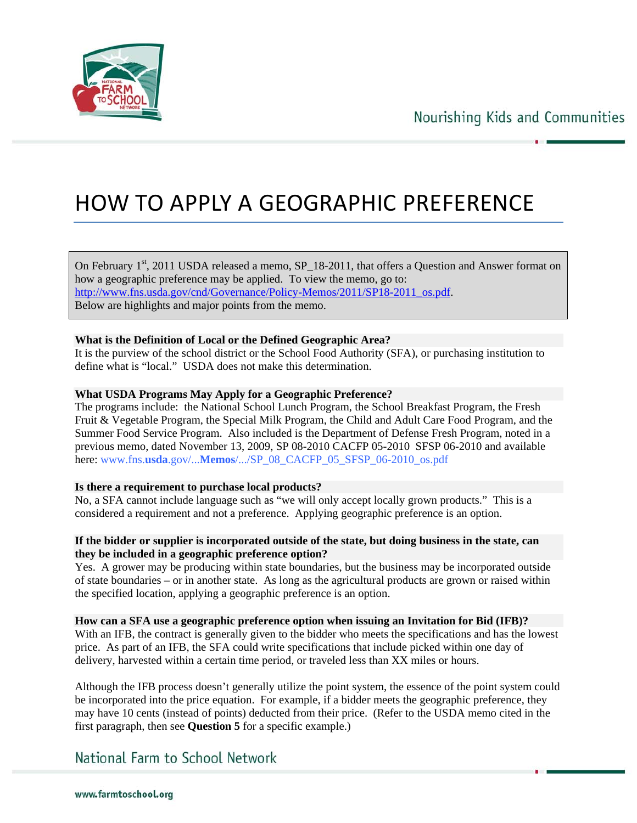

# HOW TO APPLY A GEOGRAPHIC PREFERENCE

On February  $1<sup>st</sup>$ , 2011 USDA released a memo, SP  $18-2011$ , that offers a Question and Answer format on how a geographic preference may be applied. To view the memo, go to: http://www.fns.usda.gov/cnd/Governance/Policy-Memos/2011/SP18-2011\_os.pdf. Below are highlights and major points from the memo.

### **What is the Definition of Local or the Defined Geographic Area?**

It is the purview of the school district or the School Food Authority (SFA), or purchasing institution to define what is "local." USDA does not make this determination.

#### **What USDA Programs May Apply for a Geographic Preference?**

The programs include: the National School Lunch Program, the School Breakfast Program, the Fresh Fruit & Vegetable Program, the Special Milk Program, the Child and Adult Care Food Program, and the Summer Food Service Program. Also included is the Department of Defense Fresh Program, noted in a previous memo, dated November 13, 2009, SP 08-2010 CACFP 05-2010 SFSP 06-2010 and available here: www.fns.**usda**.gov/...**Memos**/.../SP\_08\_CACFP\_05\_SFSP\_06-2010\_os.pdf

#### **Is there a requirement to purchase local products?**

No, a SFA cannot include language such as "we will only accept locally grown products." This is a considered a requirement and not a preference. Applying geographic preference is an option.

#### **If the bidder or supplier is incorporated outside of the state, but doing business in the state, can they be included in a geographic preference option?**

Yes. A grower may be producing within state boundaries, but the business may be incorporated outside of state boundaries – or in another state. As long as the agricultural products are grown or raised within the specified location, applying a geographic preference is an option.

**How can a SFA use a geographic preference option when issuing an Invitation for Bid (IFB)?**  With an IFB, the contract is generally given to the bidder who meets the specifications and has the lowest price. As part of an IFB, the SFA could write specifications that include picked within one day of delivery, harvested within a certain time period, or traveled less than XX miles or hours.

Although the IFB process doesn't generally utilize the point system, the essence of the point system could be incorporated into the price equation. For example, if a bidder meets the geographic preference, they may have 10 cents (instead of points) deducted from their price. (Refer to the USDA memo cited in the first paragraph, then see **Question 5** for a specific example.)

## National Farm to School Network